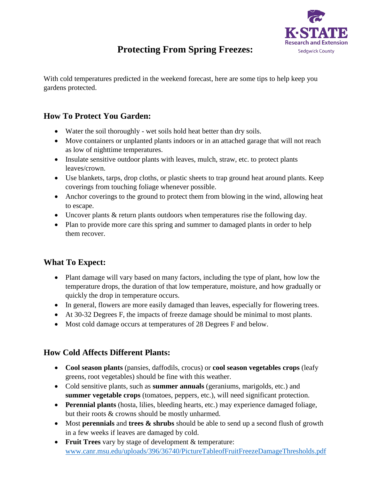

# **Protecting From Spring Freezes:**

With cold temperatures predicted in the weekend forecast, here are some tips to help keep you gardens protected.

## **How To Protect You Garden:**

- Water the soil thoroughly wet soils hold heat better than dry soils.
- Move containers or unplanted plants indoors or in an attached garage that will not reach as low of nighttime temperatures.
- Insulate sensitive outdoor plants with leaves, mulch, straw, etc. to protect plants leaves/crown.
- Use blankets, tarps, drop cloths, or plastic sheets to trap ground heat around plants. Keep coverings from touching foliage whenever possible.
- Anchor coverings to the ground to protect them from blowing in the wind, allowing heat to escape.
- Uncover plants & return plants outdoors when temperatures rise the following day.
- Plan to provide more care this spring and summer to damaged plants in order to help them recover.

### **What To Expect:**

- Plant damage will vary based on many factors, including the type of plant, how low the temperature drops, the duration of that low temperature, moisture, and how gradually or quickly the drop in temperature occurs.
- In general, flowers are more easily damaged than leaves, especially for flowering trees.
- At 30-32 Degrees F, the impacts of freeze damage should be minimal to most plants.
- Most cold damage occurs at temperatures of 28 Degrees F and below.

### **How Cold Affects Different Plants:**

- **Cool season plants** (pansies, daffodils, crocus) or **cool season vegetables crops** (leafy greens, root vegetables) should be fine with this weather.
- Cold sensitive plants, such as **summer annuals** (geraniums, marigolds, etc.) and **summer vegetable crops** (tomatoes, peppers, etc.), will need significant protection.
- **Perennial plants** (hosta, lilies, bleeding hearts, etc.) may experience damaged foliage, but their roots & crowns should be mostly unharmed.
- Most **perennials** and **trees & shrubs** should be able to send up a second flush of growth in a few weeks if leaves are damaged by cold.
- **Fruit Trees** vary by stage of development & temperature: [www.canr.msu.edu/uploads/396/36740/PictureTableofFruitFreezeDamageThresholds.pdf](http://www.canr.msu.edu/uploads/396/36740/PictureTableofFruitFreezeDamageThresholds.pdf)